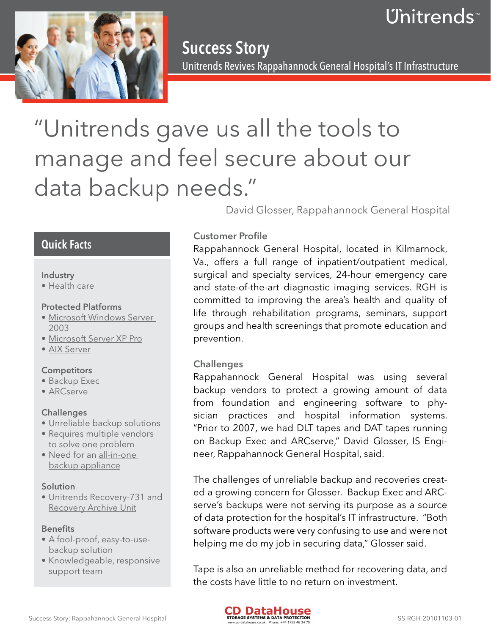# Unitrends™



Success Story Unitrends Revives Rappahannock General Hospital's IT Infrastructure

# "Unitrends gave us all the tools to manage and feel secure about our data backup needs."

David Glosser, Rappahannock General Hospital

## Quick Facts

#### Industry

• Health care

#### Protected Platforms

- **Microsoft Windows Server** 2003
- • Microsoft Server XP Pro
- AIX Server

#### **Competitors**

- Backup Exec
- • ARCserve

#### **Challenges**

- Unreliable backup solutions
- Requires multiple vendors to solve one problem
- Need for an all-in-one backup appliance

#### Solution

· Unitrends Recovery-731 and Recovery Archive Unit

#### **Benefits**

- A fool-proof, easy-to-usebackup solution
- Knowledgeable, responsive support team

### Customer Profile

Rappahannock General Hospital, located in Kilmarnock, Va., offers a full range of inpatient/outpatient medical, surgical and specialty services, 24-hour emergency care and state-of-the-art diagnostic imaging services. RGH is committed to improving the area's health and quality of life through rehabilitation programs, seminars, support groups and health screenings that promote education and prevention.

#### **Challenges**

Rappahannock General Hospital was using several backup vendors to protect a growing amount of data from foundation and engineering software to physician practices and hospital information systems. "Prior to 2007, we had DLT tapes and DAT tapes running on Backup Exec and ARCserve," David Glosser, IS Engineer, Rappahannock General Hospital, said.

The challenges of unreliable backup and recoveries created a growing concern for Glosser. Backup Exec and ARCserve's backups were not serving its purpose as a source of data protection for the hospital's IT infrastructure. "Both software products were very confusing to use and were not helping me do my job in securing data," Glosser said.

Tape is also an unreliable method for recovering data, and the costs have little to no return on investment.